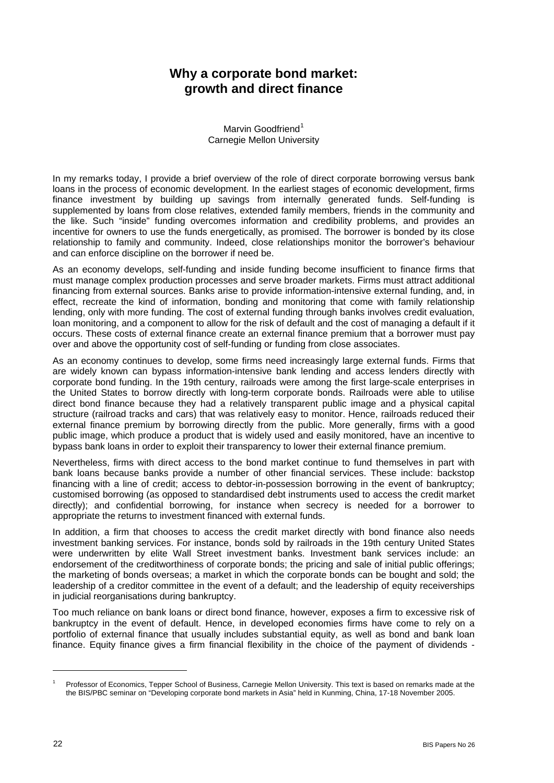## **Why a corporate bond market: growth and direct finance**

Marvin Goodfriend<sup>[1](#page-0-0)</sup> Carnegie Mellon University

In my remarks today, I provide a brief overview of the role of direct corporate borrowing versus bank loans in the process of economic development. In the earliest stages of economic development, firms finance investment by building up savings from internally generated funds. Self-funding is supplemented by loans from close relatives, extended family members, friends in the community and the like. Such "inside" funding overcomes information and credibility problems, and provides an incentive for owners to use the funds energetically, as promised. The borrower is bonded by its close relationship to family and community. Indeed, close relationships monitor the borrower's behaviour and can enforce discipline on the borrower if need be.

As an economy develops, self-funding and inside funding become insufficient to finance firms that must manage complex production processes and serve broader markets. Firms must attract additional financing from external sources. Banks arise to provide information-intensive external funding, and, in effect, recreate the kind of information, bonding and monitoring that come with family relationship lending, only with more funding. The cost of external funding through banks involves credit evaluation, loan monitoring, and a component to allow for the risk of default and the cost of managing a default if it occurs. These costs of external finance create an external finance premium that a borrower must pay over and above the opportunity cost of self-funding or funding from close associates.

As an economy continues to develop, some firms need increasingly large external funds. Firms that are widely known can bypass information-intensive bank lending and access lenders directly with corporate bond funding. In the 19th century, railroads were among the first large-scale enterprises in the United States to borrow directly with long-term corporate bonds. Railroads were able to utilise direct bond finance because they had a relatively transparent public image and a physical capital structure (railroad tracks and cars) that was relatively easy to monitor. Hence, railroads reduced their external finance premium by borrowing directly from the public. More generally, firms with a good public image, which produce a product that is widely used and easily monitored, have an incentive to bypass bank loans in order to exploit their transparency to lower their external finance premium.

Nevertheless, firms with direct access to the bond market continue to fund themselves in part with bank loans because banks provide a number of other financial services. These include: backstop financing with a line of credit; access to debtor-in-possession borrowing in the event of bankruptcy; customised borrowing (as opposed to standardised debt instruments used to access the credit market directly); and confidential borrowing, for instance when secrecy is needed for a borrower to appropriate the returns to investment financed with external funds.

In addition, a firm that chooses to access the credit market directly with bond finance also needs investment banking services. For instance, bonds sold by railroads in the 19th century United States were underwritten by elite Wall Street investment banks. Investment bank services include: an endorsement of the creditworthiness of corporate bonds; the pricing and sale of initial public offerings; the marketing of bonds overseas; a market in which the corporate bonds can be bought and sold; the leadership of a creditor committee in the event of a default; and the leadership of equity receiverships in judicial reorganisations during bankruptcy.

Too much reliance on bank loans or direct bond finance, however, exposes a firm to excessive risk of bankruptcy in the event of default. Hence, in developed economies firms have come to rely on a portfolio of external finance that usually includes substantial equity, as well as bond and bank loan finance. Equity finance gives a firm financial flexibility in the choice of the payment of dividends -

l

<span id="page-0-0"></span><sup>1</sup> Professor of Economics, Tepper School of Business, Carnegie Mellon University. This text is based on remarks made at the the BIS/PBC seminar on "Developing corporate bond markets in Asia" held in Kunming, China, 17-18 November 2005.